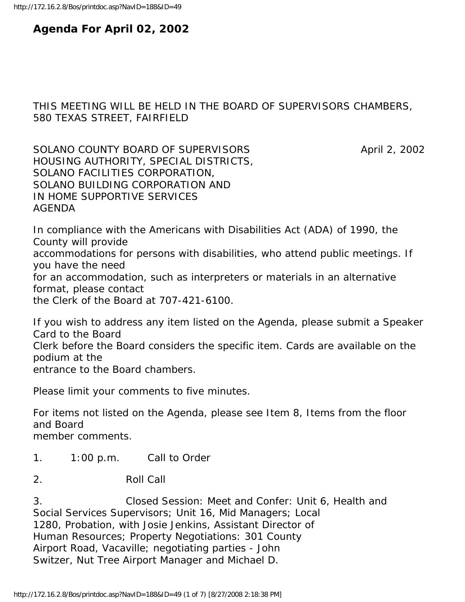# **Agenda For April 02, 2002**

# THIS MEETING WILL BE HELD IN THE BOARD OF SUPERVISORS CHAMBERS, 580 TEXAS STREET, FAIRFIELD

SOLANO COUNTY BOARD OF SUPERVISORS April 2, 2002 HOUSING AUTHORITY, SPECIAL DISTRICTS, SOLANO FACILITIES CORPORATION, SOLANO BUILDING CORPORATION AND IN HOME SUPPORTIVE SERVICES AGENDA

In compliance with the Americans with Disabilities Act (ADA) of 1990, the County will provide accommodations for persons with disabilities, who attend public meetings. If you have the need for an accommodation, such as interpreters or materials in an alternative format, please contact the Clerk of the Board at 707-421-6100.

If you wish to address any item listed on the Agenda, please submit a Speaker Card to the Board Clerk before the Board considers the specific item. Cards are available on the podium at the entrance to the Board chambers.

Please limit your comments to five minutes.

For items not listed on the Agenda, please see Item 8, Items from the floor and Board member comments.

- 1. 1:00 p.m. Call to Order
- 2. Roll Call

3. Closed Session: Meet and Confer: Unit 6, Health and Social Services Supervisors; Unit 16, Mid Managers; Local 1280, Probation, with Josie Jenkins, Assistant Director of Human Resources; Property Negotiations: 301 County Airport Road, Vacaville; negotiating parties - John Switzer, Nut Tree Airport Manager and Michael D.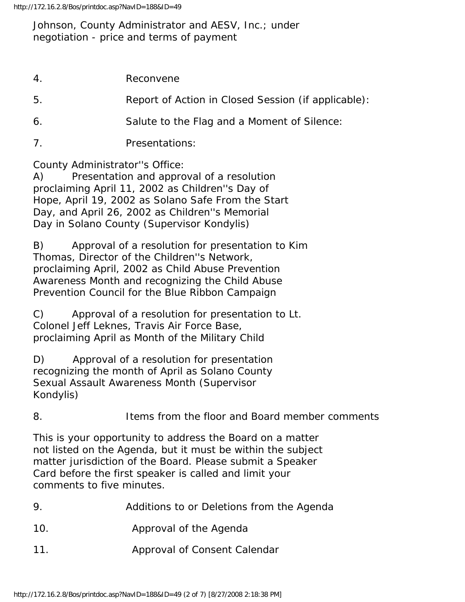## Johnson, County Administrator and AESV, Inc.; under negotiation - price and terms of payment

| 4   | Reconvene                                           |
|-----|-----------------------------------------------------|
| -5. | Report of Action in Closed Session (if applicable): |
| 6.  | Salute to the Flag and a Moment of Silence:         |

7. Presentations:

County Administrator''s Office:

A) Presentation and approval of a resolution proclaiming April 11, 2002 as Children''s Day of Hope, April 19, 2002 as Solano Safe From the Start Day, and April 26, 2002 as Children''s Memorial Day in Solano County (Supervisor Kondylis)

B) Approval of a resolution for presentation to Kim Thomas, Director of the Children''s Network, proclaiming April, 2002 as Child Abuse Prevention Awareness Month and recognizing the Child Abuse Prevention Council for the Blue Ribbon Campaign

C) Approval of a resolution for presentation to Lt. Colonel Jeff Leknes, Travis Air Force Base, proclaiming April as Month of the Military Child

D) Approval of a resolution for presentation recognizing the month of April as Solano County Sexual Assault Awareness Month (Supervisor Kondylis)

8. Items from the floor and Board member comments

This is your opportunity to address the Board on a matter not listed on the Agenda, but it must be within the subject matter jurisdiction of the Board. Please submit a Speaker Card before the first speaker is called and limit your comments to five minutes.

- 10. Approval of the Agenda
- 11. Approval of Consent Calendar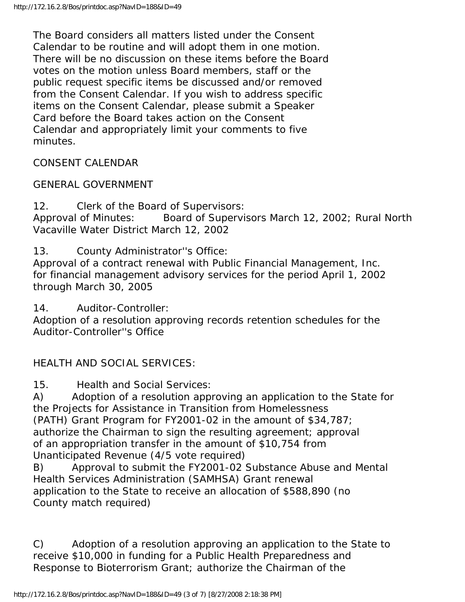The Board considers all matters listed under the Consent Calendar to be routine and will adopt them in one motion. There will be no discussion on these items before the Board votes on the motion unless Board members, staff or the public request specific items be discussed and/or removed from the Consent Calendar. If you wish to address specific items on the Consent Calendar, please submit a Speaker Card before the Board takes action on the Consent Calendar and appropriately limit your comments to five minutes.

CONSENT CALENDAR

## GENERAL GOVERNMENT

12. Clerk of the Board of Supervisors: Approval of Minutes: Board of Supervisors March 12, 2002; Rural North Vacaville Water District March 12, 2002

13. County Administrator''s Office:

Approval of a contract renewal with Public Financial Management, Inc. for financial management advisory services for the period April 1, 2002 through March 30, 2005

14. Auditor-Controller:

Adoption of a resolution approving records retention schedules for the Auditor-Controller''s Office

# HEALTH AND SOCIAL SERVICES:

15. Health and Social Services:

A) Adoption of a resolution approving an application to the State for the Projects for Assistance in Transition from Homelessness (PATH) Grant Program for FY2001-02 in the amount of \$34,787; authorize the Chairman to sign the resulting agreement; approval of an appropriation transfer in the amount of \$10,754 from Unanticipated Revenue (4/5 vote required)

B) Approval to submit the FY2001-02 Substance Abuse and Mental Health Services Administration (SAMHSA) Grant renewal application to the State to receive an allocation of \$588,890 (no County match required)

C) Adoption of a resolution approving an application to the State to receive \$10,000 in funding for a Public Health Preparedness and Response to Bioterrorism Grant; authorize the Chairman of the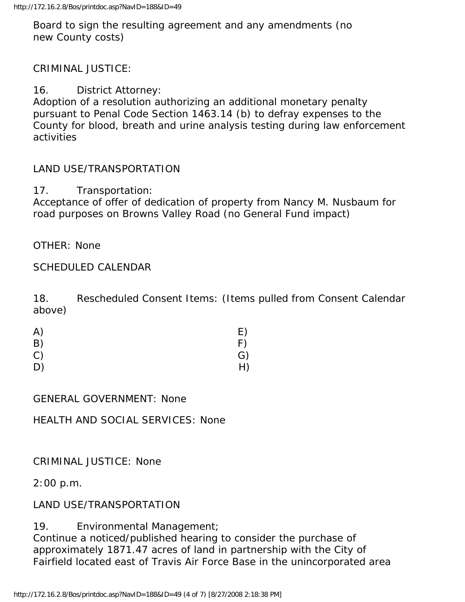Board to sign the resulting agreement and any amendments (no new County costs)

## CRIMINAL JUSTICE:

16. District Attorney:

Adoption of a resolution authorizing an additional monetary penalty pursuant to Penal Code Section 1463.14 (b) to defray expenses to the County for blood, breath and urine analysis testing during law enforcement activities

#### LAND USE/TRANSPORTATION

17. Transportation:

Acceptance of offer of dedication of property from Nancy M. Nusbaum for road purposes on Browns Valley Road (no General Fund impact)

OTHER: None

#### SCHEDULED CALENDAR

18. Rescheduled Consent Items: (Items pulled from Consent Calendar above)

| A) | E) |
|----|----|
| B) | F) |
| C) | G) |
| D) | H) |

GENERAL GOVERNMENT: None

HEALTH AND SOCIAL SERVICES: None

#### CRIMINAL JUSTICE: None

2:00 p.m.

## LAND USE/TRANSPORTATION

19. Environmental Management; Continue a noticed/published hearing to consider the purchase of approximately 1871.47 acres of land in partnership with the City of Fairfield located east of Travis Air Force Base in the unincorporated area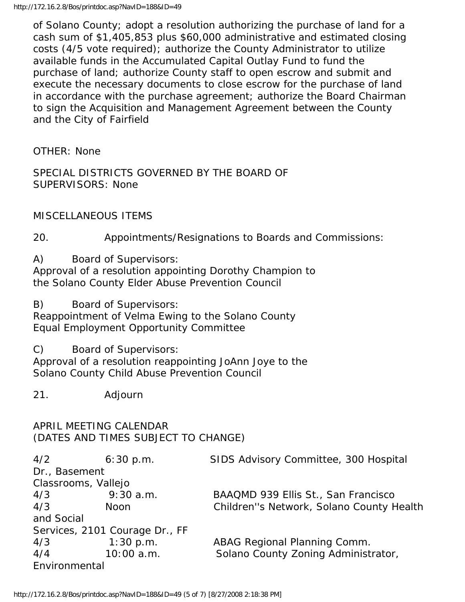of Solano County; adopt a resolution authorizing the purchase of land for a cash sum of \$1,405,853 plus \$60,000 administrative and estimated closing costs (4/5 vote required); authorize the County Administrator to utilize available funds in the Accumulated Capital Outlay Fund to fund the purchase of land; authorize County staff to open escrow and submit and execute the necessary documents to close escrow for the purchase of land in accordance with the purchase agreement; authorize the Board Chairman to sign the Acquisition and Management Agreement between the County and the City of Fairfield

OTHER: None

SPECIAL DISTRICTS GOVERNED BY THE BOARD OF SUPERVISORS: None

MISCELLANEOUS ITEMS

20. Appointments/Resignations to Boards and Commissions:

A) Board of Supervisors:

Approval of a resolution appointing Dorothy Champion to the Solano County Elder Abuse Prevention Council

B) Board of Supervisors:

Reappointment of Velma Ewing to the Solano County Equal Employment Opportunity Committee

C) Board of Supervisors:

Approval of a resolution reappointing JoAnn Joye to the Solano County Child Abuse Prevention Council

21. Adjourn

APRIL MEETING CALENDAR (DATES AND TIMES SUBJECT TO CHANGE)

| 4/2                            | 6:30 p.m.   | SIDS Advisory Committee, 300 Hospital    |  |  |
|--------------------------------|-------------|------------------------------------------|--|--|
| Dr., Basement                  |             |                                          |  |  |
| Classrooms, Vallejo            |             |                                          |  |  |
| 4/3                            | $9:30$ a.m. | BAAQMD 939 Ellis St., San Francisco      |  |  |
| 4/3                            | <b>Noon</b> | Children"s Network, Solano County Health |  |  |
| and Social                     |             |                                          |  |  |
| Services, 2101 Courage Dr., FF |             |                                          |  |  |
| 4/3                            | 1:30 p.m.   | ABAG Regional Planning Comm.             |  |  |
| 4/4                            | 10:00 a.m.  | Solano County Zoning Administrator,      |  |  |
| Environmental                  |             |                                          |  |  |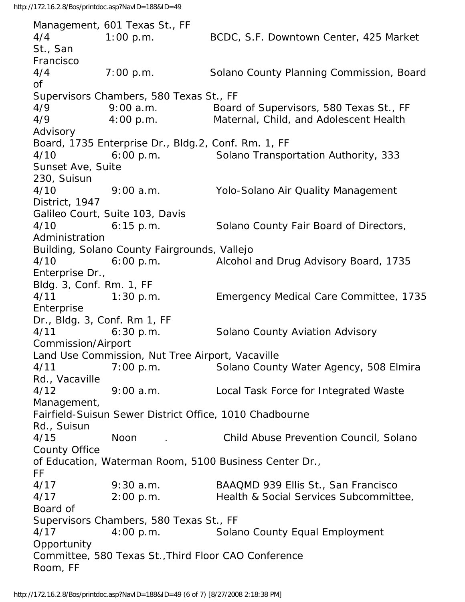Management, 601 Texas St., FF 4/4 1:00 p.m. BCDC, S.F. Downtown Center, 425 Market St., San Francisco 4/4 7:00 p.m. Solano County Planning Commission, Board of Supervisors Chambers, 580 Texas St., FF 4/9 9:00 a.m. Board of Supervisors, 580 Texas St., FF 4/9 4:00 p.m. Maternal, Child, and Adolescent Health Advisory Board, 1735 Enterprise Dr., Bldg.2, Conf. Rm. 1, FF 4/10 6:00 p.m. Solano Transportation Authority, 333 Sunset Ave, Suite 230, Suisun 4/10 9:00 a.m. Yolo-Solano Air Quality Management District, 1947 Galileo Court, Suite 103, Davis 4/10 6:15 p.m. Solano County Fair Board of Directors, Administration Building, Solano County Fairgrounds, Vallejo 4/10 6:00 p.m. Alcohol and Drug Advisory Board, 1735 Enterprise Dr., Bldg. 3, Conf. Rm. 1, FF 4/11 1:30 p.m. Emergency Medical Care Committee, 1735 Enterprise Dr., Bldg. 3, Conf. Rm 1, FF 4/11 6:30 p.m. Solano County Aviation Advisory Commission/Airport Land Use Commission, Nut Tree Airport, Vacaville 4/11 7:00 p.m. Solano County Water Agency, 508 Elmira Rd., Vacaville 4/12 9:00 a.m. Local Task Force for Integrated Waste Management, Fairfield-Suisun Sewer District Office, 1010 Chadbourne Rd., Suisun 4/15 Noon . Child Abuse Prevention Council, Solano County Office of Education, Waterman Room, 5100 Business Center Dr., FF 4/17 9:30 a.m. BAAQMD 939 Ellis St., San Francisco 4/17 2:00 p.m. Health & Social Services Subcommittee, Board of Supervisors Chambers, 580 Texas St., FF 4/17 4:00 p.m. Solano County Equal Employment **Opportunity** Committee, 580 Texas St.,Third Floor CAO Conference Room, FF